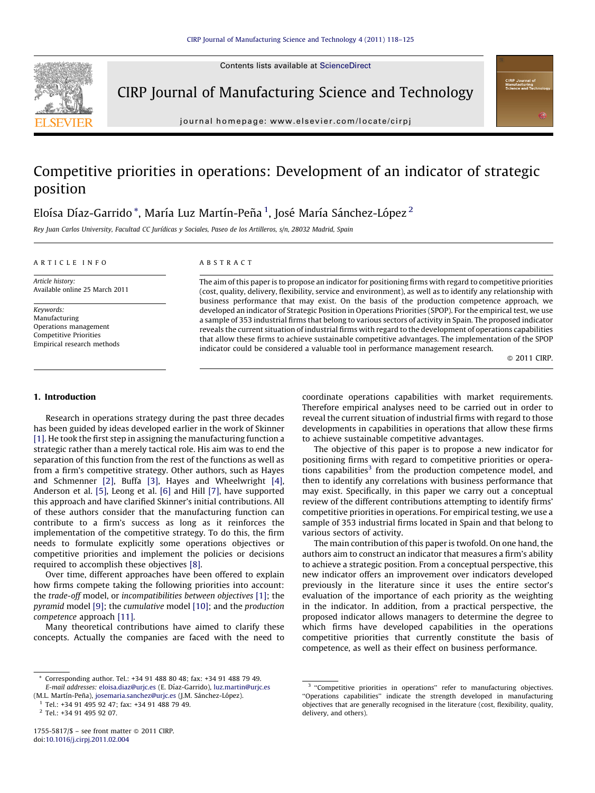Contents lists available at [ScienceDirect](http://www.sciencedirect.com/science/journal/17555817)



CIRP Journal of Manufacturing Science and Technology

journal homepage: www.elsevier.com/locate/cirpj

## Competitive priorities in operations: Development of an indicator of strategic position

### Eloísa Díaz-Garrido  $^\ast$ , María Luz Martín-Peña  $^1$ , José María Sánchez-López  $^2$

Rey Juan Carlos University, Facultad CC Jurídicas y Sociales, Paseo de los Artilleros, s/n, 28032 Madrid, Spain

#### A R T I C L E I N F O

A B S T R A C T

Article history: Available online 25 March 2011

Keywords: Manufacturing Operations management Competitive Priorities Empirical research methods The aim of this paper is to propose an indicator for positioning firms with regard to competitive priorities (cost, quality, delivery, flexibility, service and environment), as well as to identify any relationship with business performance that may exist. On the basis of the production competence approach, we developed an indicator of Strategic Position in Operations Priorities (SPOP). For the empirical test, we use a sample of 353 industrial firms that belong to various sectors of activity in Spain. The proposed indicator reveals the current situation of industrial firms with regard to the development of operations capabilities that allow these firms to achieve sustainable competitive advantages. The implementation of the SPOP indicator could be considered a valuable tool in performance management research.

© 2011 CIRP.

#### 1. Introduction

Research in operations strategy during the past three decades has been guided by ideas developed earlier in the work of Skinner [\[1\].](#page--1-0) He took the first step in assigning the manufacturing function a strategic rather than a merely tactical role. His aim was to end the separation of this function from the rest of the functions as well as from a firm's competitive strategy. Other authors, such as Hayes and Schmenner [\[2\],](#page--1-0) Buffa [\[3\]](#page--1-0), Hayes and Wheelwright [\[4\],](#page--1-0) Anderson et al. [\[5\],](#page--1-0) Leong et al. [\[6\]](#page--1-0) and Hill [\[7\]](#page--1-0), have supported this approach and have clarified Skinner's initial contributions. All of these authors consider that the manufacturing function can contribute to a firm's success as long as it reinforces the implementation of the competitive strategy. To do this, the firm needs to formulate explicitly some operations objectives or competitive priorities and implement the policies or decisions required to accomplish these objectives [\[8\].](#page--1-0)

Over time, different approaches have been offered to explain how firms compete taking the following priorities into account: the trade-off model, or incompatibilities between objectives [\[1\];](#page--1-0) the pyramid model [\[9\];](#page--1-0) the cumulative model [\[10\];](#page--1-0) and the production competence approach [\[11\]](#page--1-0).

Many theoretical contributions have aimed to clarify these concepts. Actually the companies are faced with the need to

\* Corresponding author. Tel.: +34 91 488 80 48; fax: +34 91 488 79 49. E-mail addresses: [eloisa.diaz@urjc.es](mailto:eloisa.diaz@urjc.es) (E. Dı´az-Garrido), [luz.martin@urjc.es](mailto:luz.martin@urjc.es)

(M.L. Martín-Peña), [josemaria.sanchez@urjc.es](mailto:josemaria.sanchez@urjc.es) (J.M. Sánchez-López). <sup>1</sup> Tel.: +34 91 495 92 47; fax: +34 91 488 79 49.

coordinate operations capabilities with market requirements. Therefore empirical analyses need to be carried out in order to reveal the current situation of industrial firms with regard to those developments in capabilities in operations that allow these firms to achieve sustainable competitive advantages.

The objective of this paper is to propose a new indicator for positioning firms with regard to competitive priorities or operations capabilities<sup>3</sup> from the production competence model, and then to identify any correlations with business performance that may exist. Specifically, in this paper we carry out a conceptual review of the different contributions attempting to identify firms' competitive priorities in operations. For empirical testing, we use a sample of 353 industrial firms located in Spain and that belong to various sectors of activity.

The main contribution of this paper is twofold. On one hand, the authors aim to construct an indicator that measures a firm's ability to achieve a strategic position. From a conceptual perspective, this new indicator offers an improvement over indicators developed previously in the literature since it uses the entire sector's evaluation of the importance of each priority as the weighting in the indicator. In addition, from a practical perspective, the proposed indicator allows managers to determine the degree to which firms have developed capabilities in the operations competitive priorities that currently constitute the basis of competence, as well as their effect on business performance.

<sup>2</sup> Tel.: +34 91 495 92 07.

<sup>&</sup>lt;sup>3</sup> "Competitive priorities in operations" refer to manufacturing objectives. ''Operations capabilities'' indicate the strength developed in manufacturing objectives that are generally recognised in the literature (cost, flexibility, quality, delivery, and others).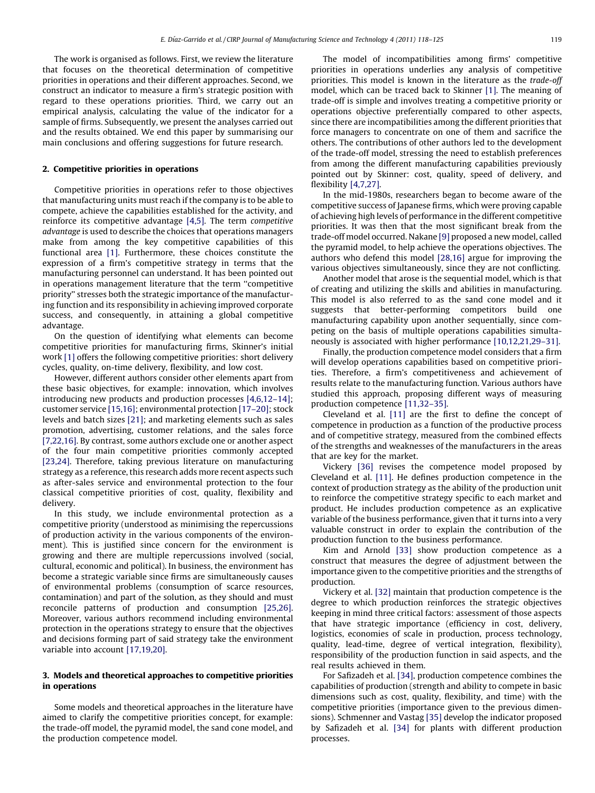The work is organised as follows. First, we review the literature that focuses on the theoretical determination of competitive priorities in operations and their different approaches. Second, we construct an indicator to measure a firm's strategic position with regard to these operations priorities. Third, we carry out an empirical analysis, calculating the value of the indicator for a sample of firms. Subsequently, we present the analyses carried out and the results obtained. We end this paper by summarising our main conclusions and offering suggestions for future research.

#### 2. Competitive priorities in operations

Competitive priorities in operations refer to those objectives that manufacturing units must reach if the company is to be able to compete, achieve the capabilities established for the activity, and reinforce its competitive advantage [\[4,5\]](#page--1-0). The term competitive advantage is used to describe the choices that operations managers make from among the key competitive capabilities of this functional area [\[1\]](#page--1-0). Furthermore, these choices constitute the expression of a firm's competitive strategy in terms that the manufacturing personnel can understand. It has been pointed out in operations management literature that the term ''competitive priority'' stresses both the strategic importance of the manufacturing function and its responsibility in achieving improved corporate success, and consequently, in attaining a global competitive advantage.

On the question of identifying what elements can become competitive priorities for manufacturing firms, Skinner's initial work [\[1\]](#page--1-0) offers the following competitive priorities: short delivery cycles, quality, on-time delivery, flexibility, and low cost.

However, different authors consider other elements apart from these basic objectives, for example: innovation, which involves introducing new products and production processes [\[4,6,12–14\];](#page--1-0) customer service [\[15,16\]](#page--1-0); environmental protection [\[17–20\]](#page--1-0); stock levels and batch sizes [\[21\]](#page--1-0); and marketing elements such as sales promotion, advertising, customer relations, and the sales force [\[7,22,16\]](#page--1-0). By contrast, some authors exclude one or another aspect of the four main competitive priorities commonly accepted [\[23,24\].](#page--1-0) Therefore, taking previous literature on manufacturing strategy as a reference, this research adds more recent aspects such as after-sales service and environmental protection to the four classical competitive priorities of cost, quality, flexibility and delivery.

In this study, we include environmental protection as a competitive priority (understood as minimising the repercussions of production activity in the various components of the environment). This is justified since concern for the environment is growing and there are multiple repercussions involved (social, cultural, economic and political). In business, the environment has become a strategic variable since firms are simultaneously causes of environmental problems (consumption of scarce resources, contamination) and part of the solution, as they should and must reconcile patterns of production and consumption [\[25,26\].](#page--1-0) Moreover, various authors recommend including environmental protection in the operations strategy to ensure that the objectives and decisions forming part of said strategy take the environment variable into account [\[17,19,20\]](#page--1-0).

#### 3. Models and theoretical approaches to competitive priorities in operations

Some models and theoretical approaches in the literature have aimed to clarify the competitive priorities concept, for example: the trade-off model, the pyramid model, the sand cone model, and the production competence model.

The model of incompatibilities among firms' competitive priorities in operations underlies any analysis of competitive priorities. This model is known in the literature as the trade-off model, which can be traced back to Skinner [\[1\].](#page--1-0) The meaning of trade-off is simple and involves treating a competitive priority or operations objective preferentially compared to other aspects, since there are incompatibilities among the different priorities that force managers to concentrate on one of them and sacrifice the others. The contributions of other authors led to the development of the trade-off model, stressing the need to establish preferences from among the different manufacturing capabilities previously pointed out by Skinner: cost, quality, speed of delivery, and flexibility [\[4,7,27\].](#page--1-0)

In the mid-1980s, researchers began to become aware of the competitive success of Japanese firms, which were proving capable of achieving high levels of performance in the different competitive priorities. It was then that the most significant break from the trade-off model occurred. Nakane [\[9\]](#page--1-0) proposed a new model, called the pyramid model, to help achieve the operations objectives. The authors who defend this model [\[28,16\]](#page--1-0) argue for improving the various objectives simultaneously, since they are not conflicting.

Another model that arose is the sequential model, which is that of creating and utilizing the skills and abilities in manufacturing. This model is also referred to as the sand cone model and it suggests that better-performing competitors build one manufacturing capability upon another sequentially, since competing on the basis of multiple operations capabilities simultaneously is associated with higher performance [\[10,12,21,29–31\]](#page--1-0).

Finally, the production competence model considers that a firm will develop operations capabilities based on competitive priorities. Therefore, a firm's competitiveness and achievement of results relate to the manufacturing function. Various authors have studied this approach, proposing different ways of measuring production competence [\[11,32–35\]](#page--1-0).

Cleveland et al. [\[11\]](#page--1-0) are the first to define the concept of competence in production as a function of the productive process and of competitive strategy, measured from the combined effects of the strengths and weaknesses of the manufacturers in the areas that are key for the market.

Vickery [\[36\]](#page--1-0) revises the competence model proposed by Cleveland et al. [\[11\].](#page--1-0) He defines production competence in the context of production strategy as the ability of the production unit to reinforce the competitive strategy specific to each market and product. He includes production competence as an explicative variable of the business performance, given that it turns into a very valuable construct in order to explain the contribution of the production function to the business performance.

Kim and Arnold [\[33\]](#page--1-0) show production competence as a construct that measures the degree of adjustment between the importance given to the competitive priorities and the strengths of production.

Vickery et al. [\[32\]](#page--1-0) maintain that production competence is the degree to which production reinforces the strategic objectives keeping in mind three critical factors: assessment of those aspects that have strategic importance (efficiency in cost, delivery, logistics, economies of scale in production, process technology, quality, lead-time, degree of vertical integration, flexibility), responsibility of the production function in said aspects, and the real results achieved in them.

For Safizadeh et al. [\[34\],](#page--1-0) production competence combines the capabilities of production (strength and ability to compete in basic dimensions such as cost, quality, flexibility, and time) with the competitive priorities (importance given to the previous dimensions). Schmenner and Vastag [\[35\]](#page--1-0) develop the indicator proposed by Safizadeh et al. [\[34\]](#page--1-0) for plants with different production processes.